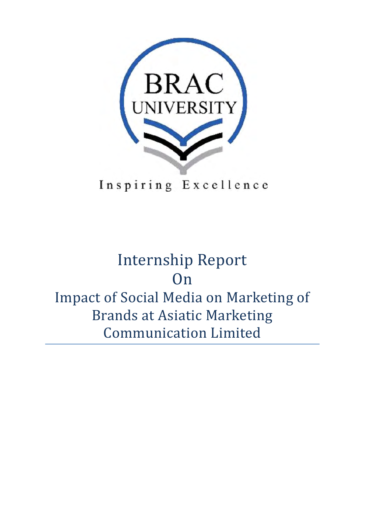

Inspiring Excellence

# Internship Report On Impact of Social Media on Marketing of **Brands at Asiatic Marketing** Communication Limited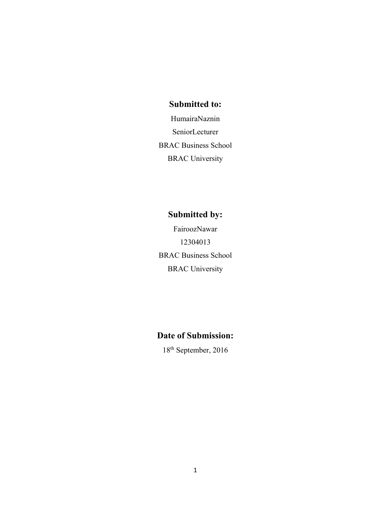### **Submitted to:**

HumairaNaznin SeniorLecturer BRAC Business School BRAC University

## **Submitted by:**

FairoozNawar 12304013 BRAC Business School BRAC University

## **Date of Submission:**

18th September, 2016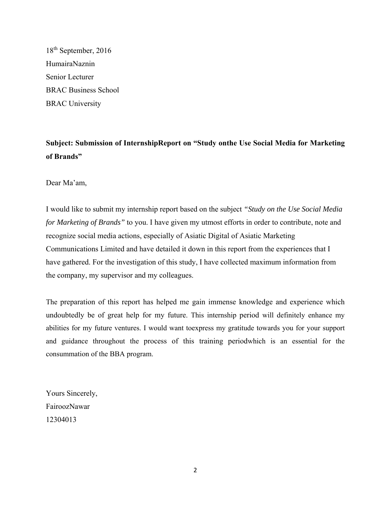18th September, 2016 HumairaNaznin Senior Lecturer BRAC Business School BRAC University

**Subject: Submission of InternshipReport on "Study onthe Use Social Media for Marketing of Brands"**

Dear Ma'am,

I would like to submit my internship report based on the subject *"Study on the Use Social Media for Marketing of Brands"* to you. I have given my utmost efforts in order to contribute, note and recognize social media actions, especially of Asiatic Digital of Asiatic Marketing Communications Limited and have detailed it down in this report from the experiences that I have gathered. For the investigation of this study, I have collected maximum information from the company, my supervisor and my colleagues.

The preparation of this report has helped me gain immense knowledge and experience which undoubtedly be of great help for my future. This internship period will definitely enhance my abilities for my future ventures. I would want toexpress my gratitude towards you for your support and guidance throughout the process of this training periodwhich is an essential for the consummation of the BBA program.

Yours Sincerely, FairoozNawar 12304013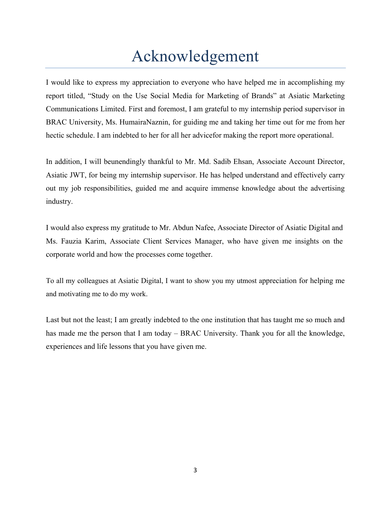## Acknowledgement

I would like to express my appreciation to everyone who have helped me in accomplishing my report titled, "Study on the Use Social Media for Marketing of Brands" at Asiatic Marketing Communications Limited. First and foremost, I am grateful to my internship period supervisor in BRAC University, Ms. HumairaNaznin, for guiding me and taking her time out for me from her hectic schedule. I am indebted to her for all her advicefor making the report more operational.

In addition, I will beunendingly thankful to Mr. Md. Sadib Ehsan, Associate Account Director, Asiatic JWT, for being my internship supervisor. He has helped understand and effectively carry out my job responsibilities, guided me and acquire immense knowledge about the advertising industry.

I would also express my gratitude to Mr. Abdun Nafee, Associate Director of Asiatic Digital and Ms. Fauzia Karim, Associate Client Services Manager, who have given me insights on the corporate world and how the processes come together.

To all my colleagues at Asiatic Digital, I want to show you my utmost appreciation for helping me and motivating me to do my work.

Last but not the least; I am greatly indebted to the one institution that has taught me so much and has made me the person that I am today – BRAC University. Thank you for all the knowledge, experiences and life lessons that you have given me.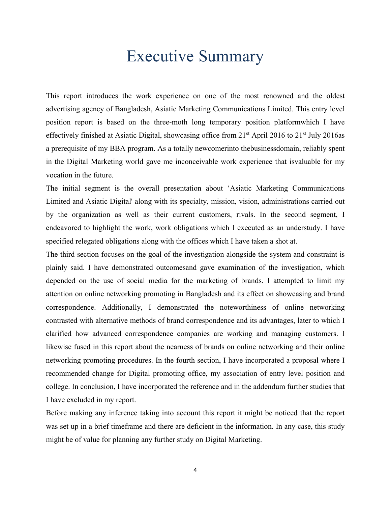## Executive Summary

This report introduces the work experience on one of the most renowned and the oldest advertising agency of Bangladesh, Asiatic Marketing Communications Limited. This entry level position report is based on the three-moth long temporary position platformwhich I have effectively finished at Asiatic Digital, showcasing office from  $21<sup>st</sup>$  April 2016 to  $21<sup>st</sup>$  July 2016as a prerequisite of my BBA program. As a totally newcomerinto thebusinessdomain, reliably spent in the Digital Marketing world gave me inconceivable work experience that isvaluable for my vocation in the future.

The initial segment is the overall presentation about 'Asiatic Marketing Communications Limited and Asiatic Digital' along with its specialty, mission, vision, administrations carried out by the organization as well as their current customers, rivals. In the second segment, I endeavored to highlight the work, work obligations which I executed as an understudy. I have specified relegated obligations along with the offices which I have taken a shot at.

The third section focuses on the goal of the investigation alongside the system and constraint is plainly said. I have demonstrated outcomesand gave examination of the investigation, which depended on the use of social media for the marketing of brands. I attempted to limit my attention on online networking promoting in Bangladesh and its effect on showcasing and brand correspondence. Additionally, I demonstrated the noteworthiness of online networking contrasted with alternative methods of brand correspondence and its advantages, later to which I clarified how advanced correspondence companies are working and managing customers. I likewise fused in this report about the nearness of brands on online networking and their online networking promoting procedures. In the fourth section, I have incorporated a proposal where I recommended change for Digital promoting office, my association of entry level position and college. In conclusion, I have incorporated the reference and in the addendum further studies that I have excluded in my report.

Before making any inference taking into account this report it might be noticed that the report was set up in a brief timeframe and there are deficient in the information. In any case, this study might be of value for planning any further study on Digital Marketing.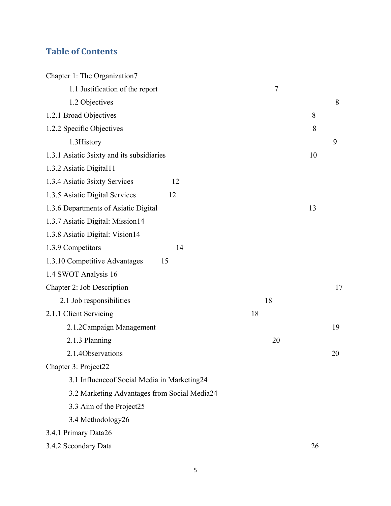## **Table of Contents**

| Chapter 1: The Organization7                 |    |    |    |    |
|----------------------------------------------|----|----|----|----|
| 1.1 Justification of the report              |    | 7  |    |    |
| 1.2 Objectives                               |    |    |    | 8  |
| 1.2.1 Broad Objectives                       |    |    | 8  |    |
| 1.2.2 Specific Objectives                    |    |    | 8  |    |
| 1.3History                                   |    |    |    | 9  |
| 1.3.1 Asiatic 3sixty and its subsidiaries    |    |    | 10 |    |
| 1.3.2 Asiatic Digital11                      |    |    |    |    |
| 1.3.4 Asiatic 3sixty Services<br>12          |    |    |    |    |
| 1.3.5 Asiatic Digital Services<br>12         |    |    |    |    |
| 1.3.6 Departments of Asiatic Digital         |    |    | 13 |    |
| 1.3.7 Asiatic Digital: Mission14             |    |    |    |    |
| 1.3.8 Asiatic Digital: Vision14              |    |    |    |    |
| 1.3.9 Competitors<br>14                      |    |    |    |    |
| 1.3.10 Competitive Advantages<br>15          |    |    |    |    |
| 1.4 SWOT Analysis 16                         |    |    |    |    |
| Chapter 2: Job Description                   |    |    |    | 17 |
| 2.1 Job responsibilities                     |    | 18 |    |    |
| 2.1.1 Client Servicing                       | 18 |    |    |    |
| 2.1.2 Campaign Management                    |    |    |    | 19 |
| 2.1.3 Planning                               |    | 20 |    |    |
| 2.1.4Observations                            |    |    |    | 20 |
| Chapter 3: Project22                         |    |    |    |    |
| 3.1 Influenceof Social Media in Marketing24  |    |    |    |    |
| 3.2 Marketing Advantages from Social Media24 |    |    |    |    |
| 3.3 Aim of the Project25                     |    |    |    |    |
| 3.4 Methodology26                            |    |    |    |    |
| 3.4.1 Primary Data26                         |    |    |    |    |
| 3.4.2 Secondary Data                         |    |    | 26 |    |
|                                              |    |    |    |    |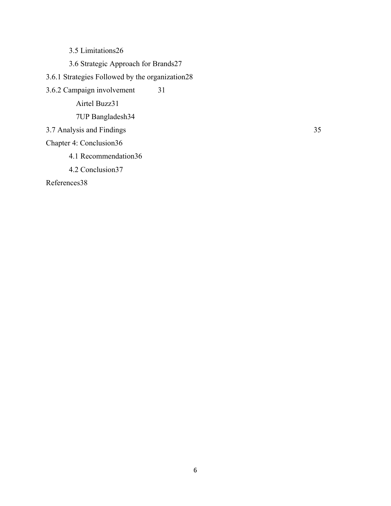3.5 Limitations26

3.6 Strategic Approach for Brands27

3.6.1 Strategies Followed by the organization28

3.6.2 Campaign involvement 31 Airtel Buzz31 7UP Bangladesh34

3.7 Analysis and Findings 35

Chapter 4: Conclusion36

4.1 Recommendation36

4.2 Conclusion37

References38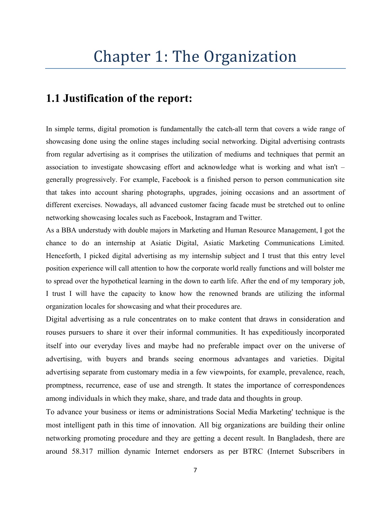## **1.1 Justification of the report:**

In simple terms, digital promotion is fundamentally the catch-all term that covers a wide range of showcasing done using the online stages including social networking. Digital advertising contrasts from regular advertising as it comprises the utilization of mediums and techniques that permit an association to investigate showcasing effort and acknowledge what is working and what isn't – generally progressively. For example, Facebook is a finished person to person communication site that takes into account sharing photographs, upgrades, joining occasions and an assortment of different exercises. Nowadays, all advanced customer facing facade must be stretched out to online networking showcasing locales such as Facebook, Instagram and Twitter.

As a BBA understudy with double majors in Marketing and Human Resource Management, I got the chance to do an internship at Asiatic Digital, Asiatic Marketing Communications Limited. Henceforth, I picked digital advertising as my internship subject and I trust that this entry level position experience will call attention to how the corporate world really functions and will bolster me to spread over the hypothetical learning in the down to earth life. After the end of my temporary job, I trust I will have the capacity to know how the renowned brands are utilizing the informal organization locales for showcasing and what their procedures are.

Digital advertising as a rule concentrates on to make content that draws in consideration and rouses pursuers to share it over their informal communities. It has expeditiously incorporated itself into our everyday lives and maybe had no preferable impact over on the universe of advertising, with buyers and brands seeing enormous advantages and varieties. Digital advertising separate from customary media in a few viewpoints, for example, prevalence, reach, promptness, recurrence, ease of use and strength. It states the importance of correspondences among individuals in which they make, share, and trade data and thoughts in group.

To advance your business or items or administrations Social Media Marketing' technique is the most intelligent path in this time of innovation. All big organizations are building their online networking promoting procedure and they are getting a decent result. In Bangladesh, there are around 58.317 million dynamic Internet endorsers as per BTRC (Internet Subscribers in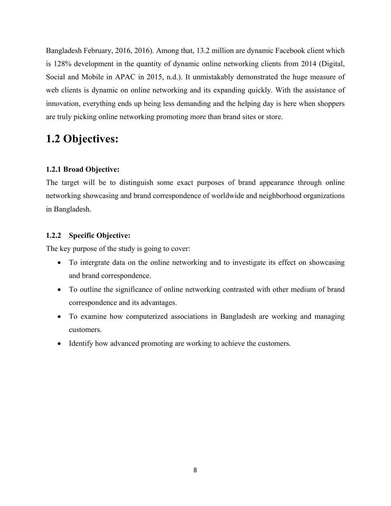Bangladesh February, 2016, 2016). Among that, 13.2 million are dynamic Facebook client which is 128% development in the quantity of dynamic online networking clients from 2014 (Digital, Social and Mobile in APAC in 2015, n.d.). It unmistakably demonstrated the huge measure of web clients is dynamic on online networking and its expanding quickly. With the assistance of innovation, everything ends up being less demanding and the helping day is here when shoppers are truly picking online networking promoting more than brand sites or store.

## **1.2 Objectives:**

#### **1.2.1 Broad Objective:**

The target will be to distinguish some exact purposes of brand appearance through online networking showcasing and brand correspondence of worldwide and neighborhood organizations in Bangladesh.

#### **1.2.2 Specific Objective:**

The key purpose of the study is going to cover:

- To intergrate data on the online networking and to investigate its effect on showcasing and brand correspondence.
- To outline the significance of online networking contrasted with other medium of brand correspondence and its advantages.
- To examine how computerized associations in Bangladesh are working and managing customers.
- Identify how advanced promoting are working to achieve the customers.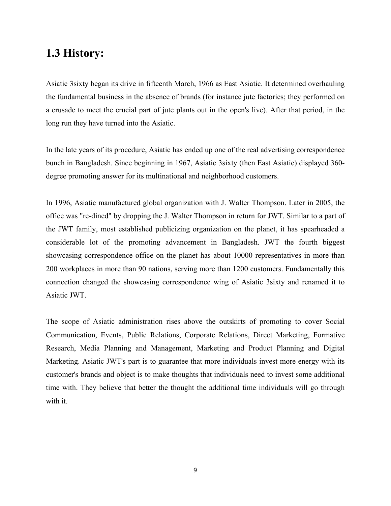## **1.3 History:**

Asiatic 3sixty began its drive in fifteenth March, 1966 as East Asiatic. It determined overhauling the fundamental business in the absence of brands (for instance jute factories; they performed on a crusade to meet the crucial part of jute plants out in the open's live). After that period, in the long run they have turned into the Asiatic.

In the late years of its procedure, Asiatic has ended up one of the real advertising correspondence bunch in Bangladesh. Since beginning in 1967, Asiatic 3sixty (then East Asiatic) displayed 360 degree promoting answer for its multinational and neighborhood customers.

In 1996, Asiatic manufactured global organization with J. Walter Thompson. Later in 2005, the office was "re-dined" by dropping the J. Walter Thompson in return for JWT. Similar to a part of the JWT family, most established publicizing organization on the planet, it has spearheaded a considerable lot of the promoting advancement in Bangladesh. JWT the fourth biggest showcasing correspondence office on the planet has about 10000 representatives in more than 200 workplaces in more than 90 nations, serving more than 1200 customers. Fundamentally this connection changed the showcasing correspondence wing of Asiatic 3sixty and renamed it to Asiatic JWT.

The scope of Asiatic administration rises above the outskirts of promoting to cover Social Communication, Events, Public Relations, Corporate Relations, Direct Marketing, Formative Research, Media Planning and Management, Marketing and Product Planning and Digital Marketing. Asiatic JWT's part is to guarantee that more individuals invest more energy with its customer's brands and object is to make thoughts that individuals need to invest some additional time with. They believe that better the thought the additional time individuals will go through with it.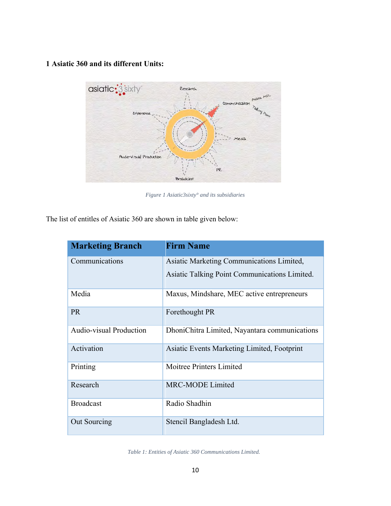### **1 Asiatic 360 and its different Units:**



*Figure 1 Asiatic3sixty° and its subsidiaries*

The list of entitles of Asiatic 360 are shown in table given below:

| <b>Marketing Branch</b>        | <b>Firm Name</b>                              |
|--------------------------------|-----------------------------------------------|
| Communications                 | Asiatic Marketing Communications Limited,     |
|                                | Asiatic Talking Point Communications Limited. |
| Media                          | Maxus, Mindshare, MEC active entrepreneurs    |
| <b>PR</b>                      | Forethought PR                                |
| <b>Audio-visual Production</b> | DhoniChitra Limited, Nayantara communications |
| Activation                     | Asiatic Events Marketing Limited, Footprint   |
| Printing                       | Moitree Printers Limited                      |
| Research                       | <b>MRC-MODE Limited</b>                       |
| <b>Broadcast</b>               | Radio Shadhin                                 |
| Out Sourcing                   | Stencil Bangladesh Ltd.                       |

*Table 1: Entities of Asiatic 360 Communications Limited.*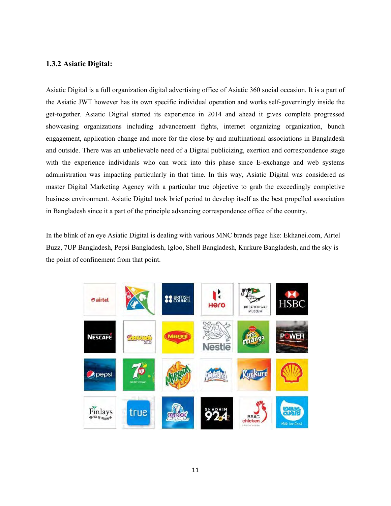#### **1.3.2 Asiatic Digital:**

Asiatic Digital is a full organization digital advertising office of Asiatic 360 social occasion. It is a part of the Asiatic JWT however has its own specific individual operation and works self-governingly inside the get-together. Asiatic Digital started its experience in 2014 and ahead it gives complete progressed showcasing organizations including advancement fights, internet organizing organization, bunch engagement, application change and more for the close-by and multinational associations in Bangladesh and outside. There was an unbelievable need of a Digital publicizing, exertion and correspondence stage with the experience individuals who can work into this phase since E-exchange and web systems administration was impacting particularly in that time. In this way, Asiatic Digital was considered as master Digital Marketing Agency with a particular true objective to grab the exceedingly completive business environment. Asiatic Digital took brief period to develop itself as the best propelled association in Bangladesh since it a part of the principle advancing correspondence office of the country.

In the blink of an eye Asiatic Digital is dealing with various MNC brands page like: Ekhanei.com, Airtel Buzz, 7UP Bangladesh, Pepsi Bangladesh, Igloo, Shell Bangladesh, Kurkure Bangladesh, and the sky is the point of confinement from that point.

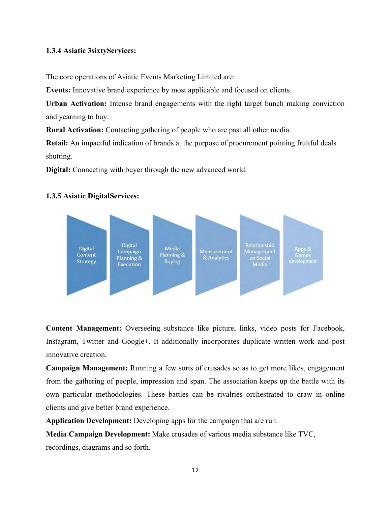### **1.3.4 Asiatic 3sixtyServices:**

The core operations of Asiatic Events Marketing Limited are:

**Events:** Innovative brand experience by most applicable and focused on clients.

**Urban Activation:** Intense brand engagements with the right target bunch making conviction and yearning to buy.

**Rural Activation:** Contacting gathering of people who are past all other media.

**Retail:** An impactful indication of brands at the purpose of procurement pointing fruitful deals shutting.

**Digital:** Connecting with buyer through the new advanced world.

#### **1.3.5 Asiatic DigitalServices:**



**Content Management:** Overseeing substance like picture, links, video posts for Facebook, Instagram, Twitter and Google+. It additionally incorporates duplicate written work and post innovative creation.

**Campaign Management:** Running a few sorts of crusades so as to get more likes, engagement from the gathering of people, impression and span. The association keeps up the battle with its own particular methodologies. These battles can be rivalries orchestrated to draw in online clients and give better brand experience.

**Application Development:** Developing apps for the campaign that are run.

**Media Campaign Development:** Make crusades of various media substance like TVC,

recordings, diagrams and so forth.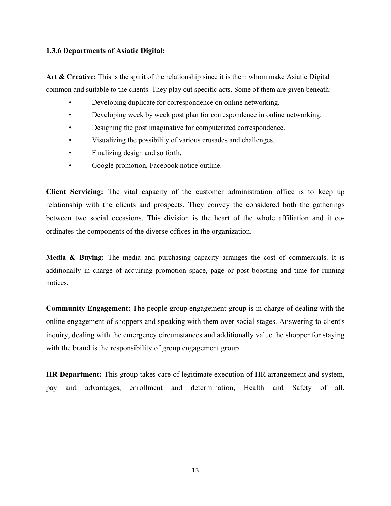#### **1.3.6 Departments of Asiatic Digital:**

**Art & Creative:** This is the spirit of the relationship since it is them whom make Asiatic Digital common and suitable to the clients. They play out specific acts. Some of them are given beneath:

- Developing duplicate for correspondence on online networking.
- Developing week by week post plan for correspondence in online networking.
- Designing the post imaginative for computerized correspondence.
- Visualizing the possibility of various crusades and challenges.
- Finalizing design and so forth.
- Google promotion, Facebook notice outline.

**Client Servicing:** The vital capacity of the customer administration office is to keep up relationship with the clients and prospects. They convey the considered both the gatherings between two social occasions. This division is the heart of the whole affiliation and it coordinates the components of the diverse offices in the organization.

**Media & Buying:** The media and purchasing capacity arranges the cost of commercials. It is additionally in charge of acquiring promotion space, page or post boosting and time for running notices.

**Community Engagement:** The people group engagement group is in charge of dealing with the online engagement of shoppers and speaking with them over social stages. Answering to client's inquiry, dealing with the emergency circumstances and additionally value the shopper for staying with the brand is the responsibility of group engagement group.

**HR Department:** This group takes care of legitimate execution of HR arrangement and system, pay and advantages, enrollment and determination, Health and Safety of all.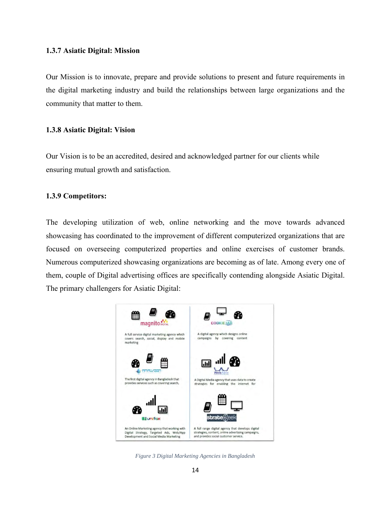#### **1.3.7 Asiatic Digital: Mission**

Our Mission is to innovate, prepare and provide solutions to present and future requirements in the digital marketing industry and build the relationships between large organizations and the community that matter to them.

#### **1.3.8 Asiatic Digital: Vision**

Our Vision is to be an accredited, desired and acknowledged partner for our clients while ensuring mutual growth and satisfaction.

#### **1.3.9 Competitors:**

The developing utilization of web, online networking and the move towards advanced showcasing has coordinated to the improvement of different computerized organizations that are focused on overseeing computerized properties and online exercises of customer brands. Numerous computerized showcasing organizations are becoming as of late. Among every one of them, couple of Digital advertising offices are specifically contending alongside Asiatic Digital. The primary challengers for Asiatic Digital:



*Figure 3 Digital Marketing Agencies in Bangladesh*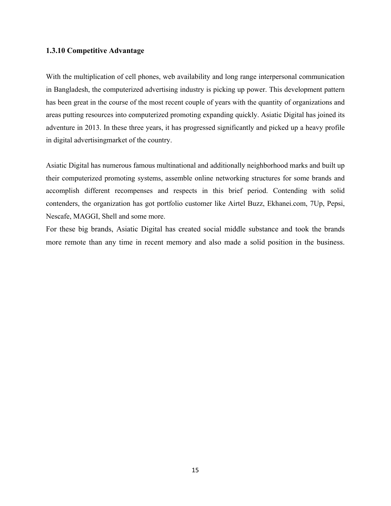#### **1.3.10 Competitive Advantage**

With the multiplication of cell phones, web availability and long range interpersonal communication in Bangladesh, the computerized advertising industry is picking up power. This development pattern has been great in the course of the most recent couple of years with the quantity of organizations and areas putting resources into computerized promoting expanding quickly. Asiatic Digital has joined its adventure in 2013. In these three years, it has progressed significantly and picked up a heavy profile in digital advertisingmarket of the country.

Asiatic Digital has numerous famous multinational and additionally neighborhood marks and built up their computerized promoting systems, assemble online networking structures for some brands and accomplish different recompenses and respects in this brief period. Contending with solid contenders, the organization has got portfolio customer like Airtel Buzz, Ekhanei.com, 7Up, Pepsi, Nescafe, MAGGI, Shell and some more.

For these big brands, Asiatic Digital has created social middle substance and took the brands more remote than any time in recent memory and also made a solid position in the business.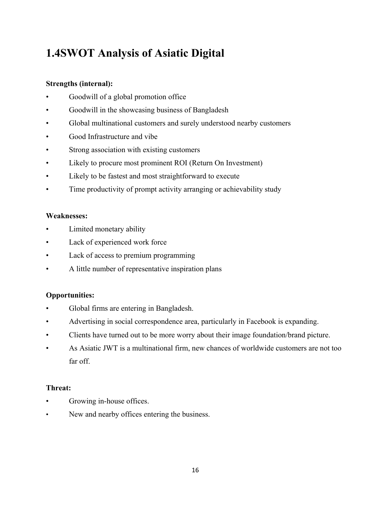## **1.4SWOT Analysis of Asiatic Digital**

### **Strengths (internal):**

- Goodwill of a global promotion office
- Goodwill in the showcasing business of Bangladesh
- Global multinational customers and surely understood nearby customers
- Good Infrastructure and vibe
- Strong association with existing customers
- Likely to procure most prominent ROI (Return On Investment)
- Likely to be fastest and most straightforward to execute
- Time productivity of prompt activity arranging or achievability study

### **Weaknesses:**

- Limited monetary ability
- Lack of experienced work force
- Lack of access to premium programming
- A little number of representative inspiration plans

### **Opportunities:**

- Global firms are entering in Bangladesh.
- Advertising in social correspondence area, particularly in Facebook is expanding.
- Clients have turned out to be more worry about their image foundation/brand picture.
- As Asiatic JWT is a multinational firm, new chances of worldwide customers are not too far off.

### **Threat:**

- Growing in-house offices.
- New and nearby offices entering the business.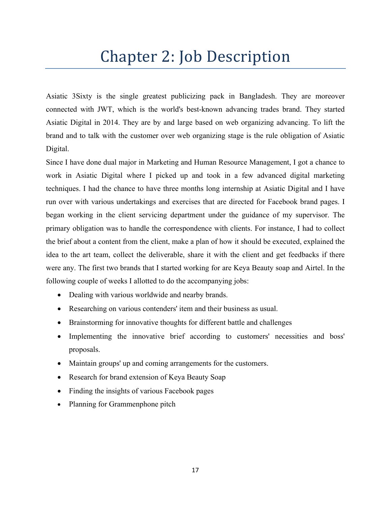## Chapter 2: Job Description

Asiatic 3Sixty is the single greatest publicizing pack in Bangladesh. They are moreover connected with JWT, which is the world's best-known advancing trades brand. They started Asiatic Digital in 2014. They are by and large based on web organizing advancing. To lift the brand and to talk with the customer over web organizing stage is the rule obligation of Asiatic Digital.

Since I have done dual major in Marketing and Human Resource Management, I got a chance to work in Asiatic Digital where I picked up and took in a few advanced digital marketing techniques. I had the chance to have three months long internship at Asiatic Digital and I have run over with various undertakings and exercises that are directed for Facebook brand pages. I began working in the client servicing department under the guidance of my supervisor. The primary obligation was to handle the correspondence with clients. For instance, I had to collect the brief about a content from the client, make a plan of how it should be executed, explained the idea to the art team, collect the deliverable, share it with the client and get feedbacks if there were any. The first two brands that I started working for are Keya Beauty soap and Airtel. In the following couple of weeks I allotted to do the accompanying jobs:

- Dealing with various worldwide and nearby brands.
- Researching on various contenders' item and their business as usual.
- Brainstorming for innovative thoughts for different battle and challenges
- Implementing the innovative brief according to customers' necessities and boss' proposals.
- Maintain groups' up and coming arrangements for the customers.
- Research for brand extension of Keya Beauty Soap
- Finding the insights of various Facebook pages
- Planning for Grammenphone pitch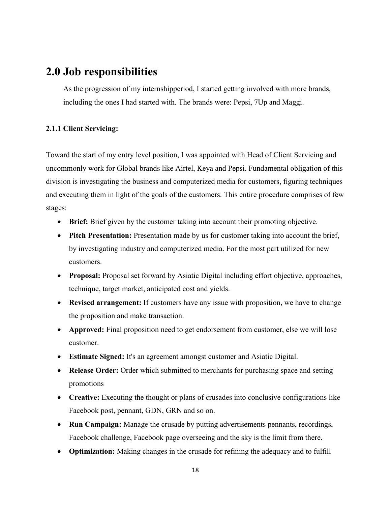## **2.0 Job responsibilities**

As the progression of my internshipperiod, I started getting involved with more brands, including the ones I had started with. The brands were: Pepsi, 7Up and Maggi.

#### **2.1.1 Client Servicing:**

Toward the start of my entry level position, I was appointed with Head of Client Servicing and uncommonly work for Global brands like Airtel, Keya and Pepsi. Fundamental obligation of this division is investigating the business and computerized media for customers, figuring techniques and executing them in light of the goals of the customers. This entire procedure comprises of few stages:

- **Brief:** Brief given by the customer taking into account their promoting objective.
- **Pitch Presentation:** Presentation made by us for customer taking into account the brief, by investigating industry and computerized media. For the most part utilized for new customers.
- **Proposal:** Proposal set forward by Asiatic Digital including effort objective, approaches, technique, target market, anticipated cost and yields.
- **Revised arrangement:** If customers have any issue with proposition, we have to change the proposition and make transaction.
- **Approved:** Final proposition need to get endorsement from customer, else we will lose customer.
- **Estimate Signed:** It's an agreement amongst customer and Asiatic Digital.
- **Release Order:** Order which submitted to merchants for purchasing space and setting promotions
- **Creative:** Executing the thought or plans of crusades into conclusive configurations like Facebook post, pennant, GDN, GRN and so on.
- **Run Campaign:** Manage the crusade by putting advertisements pennants, recordings, Facebook challenge, Facebook page overseeing and the sky is the limit from there.
- **Optimization:** Making changes in the crusade for refining the adequacy and to fulfill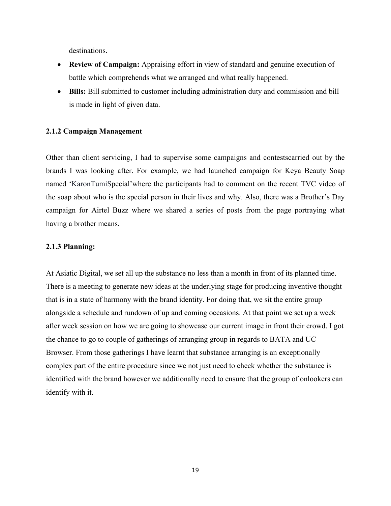destinations.

- **Review of Campaign:** Appraising effort in view of standard and genuine execution of battle which comprehends what we arranged and what really happened.
- **Bills:** Bill submitted to customer including administration duty and commission and bill is made in light of given data.

#### **2.1.2 Campaign Management**

Other than client servicing, I had to supervise some campaigns and contestscarried out by the brands I was looking after. For example, we had launched campaign for Keya Beauty Soap named 'KaronTumiSpecial'where the participants had to comment on the recent TVC video of the soap about who is the special person in their lives and why. Also, there was a Brother's Day campaign for Airtel Buzz where we shared a series of posts from the page portraying what having a brother means.

#### **2.1.3 Planning:**

At Asiatic Digital, we set all up the substance no less than a month in front of its planned time. There is a meeting to generate new ideas at the underlying stage for producing inventive thought that is in a state of harmony with the brand identity. For doing that, we sit the entire group alongside a schedule and rundown of up and coming occasions. At that point we set up a week after week session on how we are going to showcase our current image in front their crowd. I got the chance to go to couple of gatherings of arranging group in regards to BATA and UC Browser. From those gatherings I have learnt that substance arranging is an exceptionally complex part of the entire procedure since we not just need to check whether the substance is identified with the brand however we additionally need to ensure that the group of onlookers can identify with it.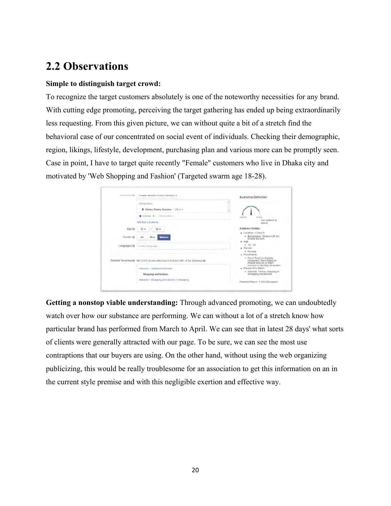## **2.2 Observations**

#### **Simple to distinguish target crowd:**

To recognize the target customers absolutely is one of the noteworthy necessities for any brand. With cutting edge promoting, perceiving the target gathering has ended up being extraordinarily less requesting. From this given picture, we can without quite a bit of a stretch find the behavioral case of our concentrated on social event of individuals. Checking their demographic, region, likings, lifestyle, development, purchasing plan and various more can be promptly seen. Case in point, I have to target quite recently "Female" customers who live in Dhaka city and motivated by 'Web Shopping and Fashion' (Targeted swarm age 18-28).

| AANWANNEE SA      | PRUDIE WISD WW III ESS KIGSUOTI %                                               | Audience Definition                                                               |
|-------------------|---------------------------------------------------------------------------------|-----------------------------------------------------------------------------------|
|                   | Blangtsdwallt                                                                   |                                                                                   |
|                   | C Dhaka, Dhaka Division + 25mi =                                                |                                                                                   |
|                   | $Q$ initiate $\Psi$ is that maximum                                             | <b>Great</b>                                                                      |
|                   | Add Bull Locations.                                                             | itur audence is<br>defined                                                        |
| Age @             | $28 -$<br>$12 -$                                                                | Audience Details:<br>· Location - Living In                                       |
| Gander <i>i</i> n | All<br>Mont<br>Woman                                                            | * Bangladesh: Dhaka (+25 mi)<br>Dhaka Division<br>$-100$                          |
| Languages @       | Enter a heratost                                                                | $= 18 - 28$<br>· Gender                                                           |
|                   |                                                                                 | a Female<br>Placements:<br>* News Feed an desktop                                 |
|                   | Detailed Targeting @ : tNCLUDE prophr who match at least ONE of the following @ | computers, News Feed on<br>mabile devices or Right<br>column on desktop computers |
|                   | Interests - Additional Interests                                                | · People Who Match                                                                |
|                   | Shopping and fastuon                                                            | * Interests Online shopping or<br>Shopping and fashion                            |
|                   | Where the Photograph and fastelon = Shopping                                    | Potenbal Reach: 1,300,000 people                                                  |

**Getting a nonstop viable understanding:** Through advanced promoting, we can undoubtedly watch over how our substance are performing. We can without a lot of a stretch know how particular brand has performed from March to April. We can see that in latest 28 days' what sorts of clients were generally attracted with our page. To be sure, we can see the most use contraptions that our buyers are using. On the other hand, without using the web organizing publicizing, this would be really troublesome for an association to get this information on an in the current style premise and with this negligible exertion and effective way.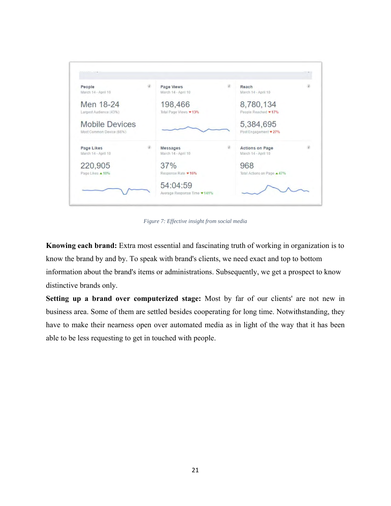

*Figure 7: Effective insight from social media*

**Knowing each brand:** Extra most essential and fascinating truth of working in organization is to know the brand by and by. To speak with brand's clients, we need exact and top to bottom information about the brand's items or administrations. Subsequently, we get a prospect to know distinctive brands only.

**Setting up a brand over computerized stage:** Most by far of our clients' are not new in business area. Some of them are settled besides cooperating for long time. Notwithstanding, they have to make their nearness open over automated media as in light of the way that it has been able to be less requesting to get in touched with people.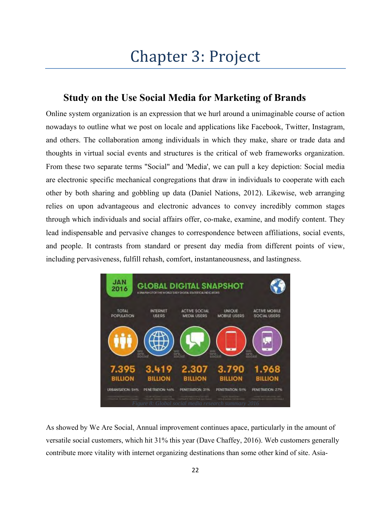# Chapter 3: Project

## **Study on the Use Social Media for Marketing of Brands**

Online system organization is an expression that we hurl around a unimaginable course of action nowadays to outline what we post on locale and applications like Facebook, Twitter, Instagram, and others. The collaboration among individuals in which they make, share or trade data and thoughts in virtual social events and structures is the critical of web frameworks organization. From these two separate terms "Social" and 'Media', we can pull a key depiction: Social media are electronic specific mechanical congregations that draw in individuals to cooperate with each other by both sharing and gobbling up data (Daniel Nations, 2012). Likewise, web arranging relies on upon advantageous and electronic advances to convey incredibly common stages through which individuals and social affairs offer, co-make, examine, and modify content. They lead indispensable and pervasive changes to correspondence between affiliations, social events, and people. It contrasts from standard or present day media from different points of view, including pervasiveness, fulfill rehash, comfort, instantaneousness, and lastingness.



As showed by We Are Social, Annual improvement continues apace, particularly in the amount of versatile social customers, which hit 31% this year (Dave Chaffey, 2016). Web customers generally contribute more vitality with internet organizing destinations than some other kind of site. Asia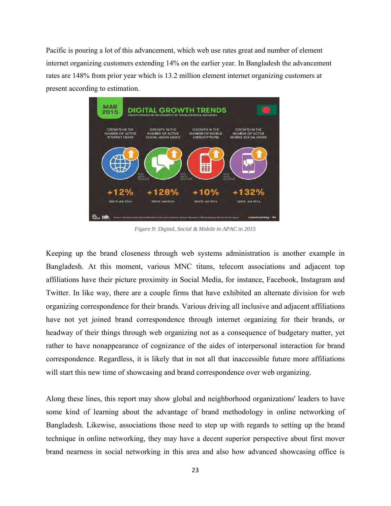Pacific is pouring a lot of this advancement, which web use rates great and number of element internet organizing customers extending 14% on the earlier year. In Bangladesh the advancement rates are 148% from prior year which is 13.2 million element internet organizing customers at present according to estimation.



*Figure 9: Digital, Social & Mobile in APAC in 2015*

Keeping up the brand closeness through web systems administration is another example in Bangladesh. At this moment, various MNC titans, telecom associations and adjacent top affiliations have their picture proximity in Social Media, for instance, Facebook, Instagram and Twitter. In like way, there are a couple firms that have exhibited an alternate division for web organizing correspondence for their brands. Various driving all inclusive and adjacent affiliations have not yet joined brand correspondence through internet organizing for their brands, or headway of their things through web organizing not as a consequence of budgetary matter, yet rather to have nonappearance of cognizance of the aides of interpersonal interaction for brand correspondence. Regardless, it is likely that in not all that inaccessible future more affiliations will start this new time of showcasing and brand correspondence over web organizing.

Along these lines, this report may show global and neighborhood organizations' leaders to have some kind of learning about the advantage of brand methodology in online networking of Bangladesh. Likewise, associations those need to step up with regards to setting up the brand technique in online networking, they may have a decent superior perspective about first mover brand nearness in social networking in this area and also how advanced showcasing office is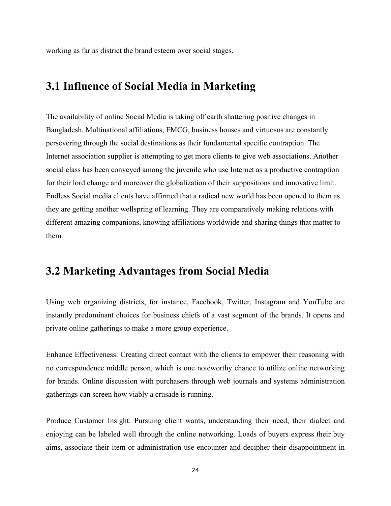working as far as district the brand esteem over social stages.

## **3.1 Influence of Social Media in Marketing**

The availability of online Social Media is taking off earth shattering positive changes in Bangladesh. Multinational affiliations, FMCG, business houses and virtuosos are constantly persevering through the social destinations as their fundamental specific contraption. The Internet association supplier is attempting to get more clients to give web associations. Another social class has been conveyed among the juvenile who use Internet as a productive contraption for their lord change and moreover the globalization of their suppositions and innovative limit. Endless Social media clients have affirmed that a radical new world has been opened to them as they are getting another wellspring of learning. They are comparatively making relations with different amazing companions, knowing affiliations worldwide and sharing things that matter to them.

## **3.2 Marketing Advantages from Social Media**

Using web organizing districts, for instance, Facebook, Twitter, Instagram and YouTube are instantly predominant choices for business chiefs of a vast segment of the brands. It opens and private online gatherings to make a more group experience.

Enhance Effectiveness: Creating direct contact with the clients to empower their reasoning with no correspondence middle person, which is one noteworthy chance to utilize online networking for brands. Online discussion with purchasers through web journals and systems administration gatherings can screen how viably a crusade is running.

Produce Customer Insight: Pursuing client wants, understanding their need, their dialect and enjoying can be labeled well through the online networking. Loads of buyers express their buy aims, associate their item or administration use encounter and decipher their disappointment in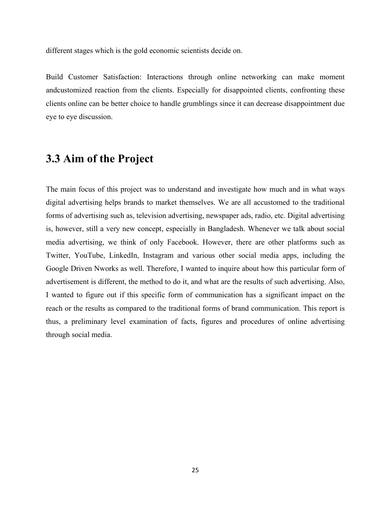different stages which is the gold economic scientists decide on.

Build Customer Satisfaction: Interactions through online networking can make moment andcustomized reaction from the clients. Especially for disappointed clients, confronting these clients online can be better choice to handle grumblings since it can decrease disappointment due eye to eye discussion.

## **3.3 Aim of the Project**

The main focus of this project was to understand and investigate how much and in what ways digital advertising helps brands to market themselves. We are all accustomed to the traditional forms of advertising such as, television advertising, newspaper ads, radio, etc. Digital advertising is, however, still a very new concept, especially in Bangladesh. Whenever we talk about social media advertising, we think of only Facebook. However, there are other platforms such as Twitter, YouTube, LinkedIn, Instagram and various other social media apps, including the Google Driven Nworks as well. Therefore, I wanted to inquire about how this particular form of advertisement is different, the method to do it, and what are the results of such advertising. Also, I wanted to figure out if this specific form of communication has a significant impact on the reach or the results as compared to the traditional forms of brand communication. This report is thus, a preliminary level examination of facts, figures and procedures of online advertising through social media.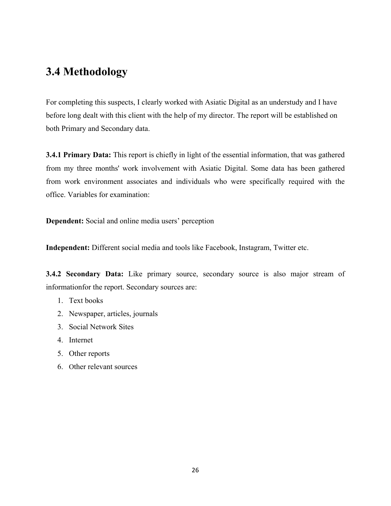## **3.4 Methodology**

For completing this suspects, I clearly worked with Asiatic Digital as an understudy and I have before long dealt with this client with the help of my director. The report will be established on both Primary and Secondary data.

**3.4.1 Primary Data:** This report is chiefly in light of the essential information, that was gathered from my three months' work involvement with Asiatic Digital. Some data has been gathered from work environment associates and individuals who were specifically required with the office. Variables for examination:

**Dependent:** Social and online media users' perception

**Independent:** Different social media and tools like Facebook, Instagram, Twitter etc.

**3.4.2 Secondary Data:** Like primary source, secondary source is also major stream of informationfor the report. Secondary sources are:

- 1. Text books
- 2. Newspaper, articles, journals
- 3. Social Network Sites
- 4. Internet
- 5. Other reports
- 6. Other relevant sources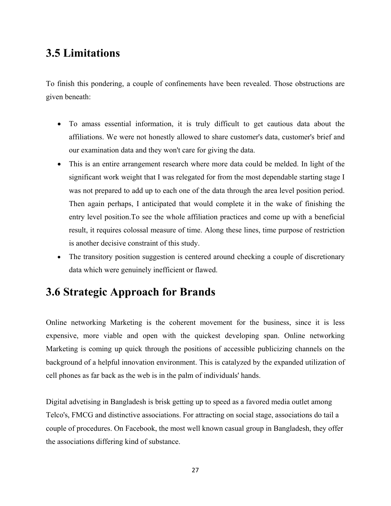## **3.5 Limitations**

To finish this pondering, a couple of confinements have been revealed. Those obstructions are given beneath:

- To amass essential information, it is truly difficult to get cautious data about the affiliations. We were not honestly allowed to share customer's data, customer's brief and our examination data and they won't care for giving the data.
- This is an entire arrangement research where more data could be melded. In light of the significant work weight that I was relegated for from the most dependable starting stage I was not prepared to add up to each one of the data through the area level position period. Then again perhaps, I anticipated that would complete it in the wake of finishing the entry level position.To see the whole affiliation practices and come up with a beneficial result, it requires colossal measure of time. Along these lines, time purpose of restriction is another decisive constraint of this study.
- The transitory position suggestion is centered around checking a couple of discretionary data which were genuinely inefficient or flawed.

## **3.6 Strategic Approach for Brands**

Online networking Marketing is the coherent movement for the business, since it is less expensive, more viable and open with the quickest developing span. Online networking Marketing is coming up quick through the positions of accessible publicizing channels on the background of a helpful innovation environment. This is catalyzed by the expanded utilization of cell phones as far back as the web is in the palm of individuals' hands.

Digital advetising in Bangladesh is brisk getting up to speed as a favored media outlet among Telco's, FMCG and distinctive associations. For attracting on social stage, associations do tail a couple of procedures. On Facebook, the most well known casual group in Bangladesh, they offer the associations differing kind of substance.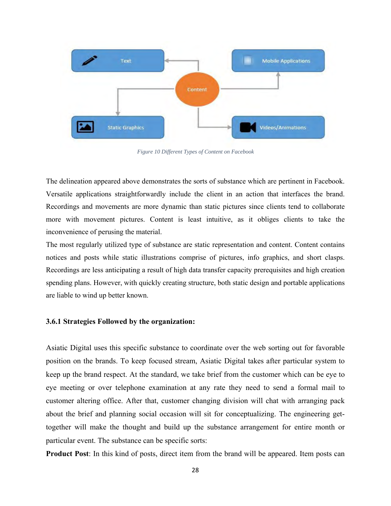

*Figure 10 Different Types of Content on Facebook*

The delineation appeared above demonstrates the sorts of substance which are pertinent in Facebook. Versatile applications straightforwardly include the client in an action that interfaces the brand. Recordings and movements are more dynamic than static pictures since clients tend to collaborate more with movement pictures. Content is least intuitive, as it obliges clients to take the inconvenience of perusing the material.

The most regularly utilized type of substance are static representation and content. Content contains notices and posts while static illustrations comprise of pictures, info graphics, and short clasps. Recordings are less anticipating a result of high data transfer capacity prerequisites and high creation spending plans. However, with quickly creating structure, both static design and portable applications are liable to wind up better known.

#### **3.6.1 Strategies Followed by the organization:**

Asiatic Digital uses this specific substance to coordinate over the web sorting out for favorable position on the brands. To keep focused stream, Asiatic Digital takes after particular system to keep up the brand respect. At the standard, we take brief from the customer which can be eye to eye meeting or over telephone examination at any rate they need to send a formal mail to customer altering office. After that, customer changing division will chat with arranging pack about the brief and planning social occasion will sit for conceptualizing. The engineering gettogether will make the thought and build up the substance arrangement for entire month or particular event. The substance can be specific sorts:

**Product Post**: In this kind of posts, direct item from the brand will be appeared. Item posts can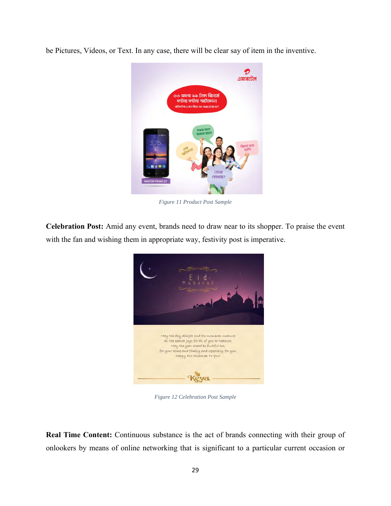be Pictures, Videos, or Text. In any case, there will be clear say of item in the inventive.



*Figure 11 Product Post Sample*

**Celebration Post:** Amid any event, brands need to draw near to its shopper. To praise the event with the fan and wishing them in appropriate way, festivity post is imperative.



*Figure 12 Celebration Post Sample*

**Real Time Content:** Continuous substance is the act of brands connecting with their group of onlookers by means of online networking that is significant to a particular current occasion or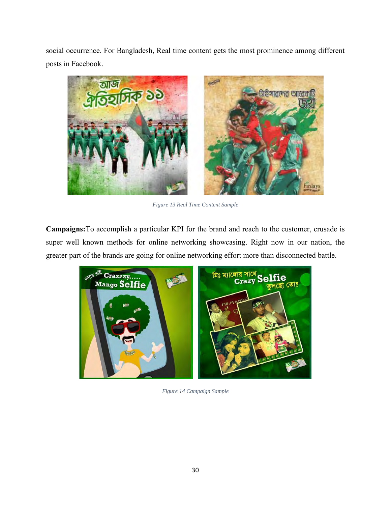social occurrence. For Bangladesh, Real time content gets the most prominence among different posts in Facebook.



*Figure 13 Real Time Content Sample*

**Campaigns:**To accomplish a particular KPI for the brand and reach to the customer, crusade is super well known methods for online networking showcasing. Right now in our nation, the greater part of the brands are going for online networking effort more than disconnected battle.



*Figure 14 Campaign Sample*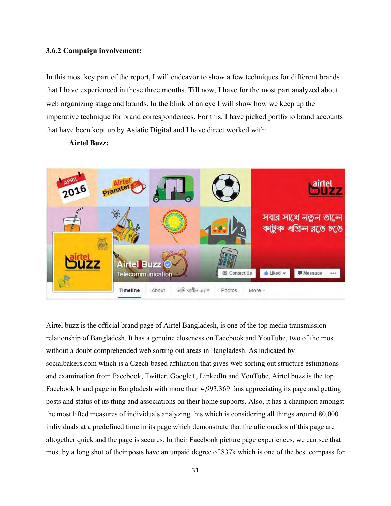#### **3.6.2 Campaign involvement:**

In this most key part of the report, I will endeavor to show a few techniques for different brands that I have experienced in these three months. Till now, I have for the most part analyzed about web organizing stage and brands. In the blink of an eye I will show how we keep up the imperative technique for brand correspondences. For this, I have picked portfolio brand accounts that have been kept up by Asiatic Digital and I have direct worked with:

#### **Airtel Buzz:**



Airtel buzz is the official brand page of Airtel Bangladesh, is one of the top media transmission relationship of Bangladesh. It has a genuine closeness on Facebook and YouTube, two of the most without a doubt comprehended web sorting out areas in Bangladesh. As indicated by socialbakers.com which is a Czech-based affiliation that gives web sorting out structure estimations and examination from Facebook, Twitter, Google+, LinkedIn and YouTube, Airtel buzz is the top Facebook brand page in Bangladesh with more than 4,993,369 fans appreciating its page and getting posts and status of its thing and associations on their home supports. Also, it has a champion amongst the most lifted measures of individuals analyzing this which is considering all things around 80,000 individuals at a predefined time in its page which demonstrate that the aficionados of this page are altogether quick and the page is secures. In their Facebook picture page experiences, we can see that most by a long shot of their posts have an unpaid degree of 837k which is one of the best compass for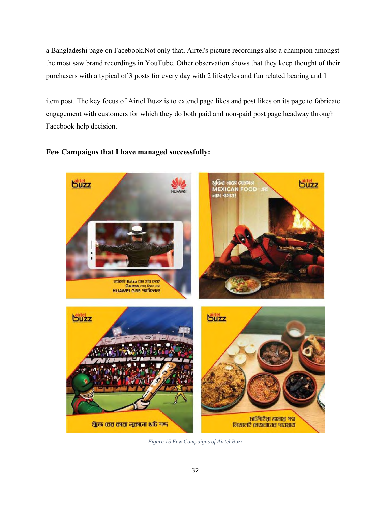a Bangladeshi page on Facebook.Not only that, Airtel's picture recordings also a champion amongst the most saw brand recordings in YouTube. Other observation shows that they keep thought of their purchasers with a typical of 3 posts for every day with 2 lifestyles and fun related bearing and 1

item post. The key focus of Airtel Buzz is to extend page likes and post likes on its page to fabricate engagement with customers for which they do both paid and non-paid post page headway through Facebook help decision.



### **Few Campaigns that I have managed successfully:**

*Figure 15 Few Campaigns of Airtel Buzz*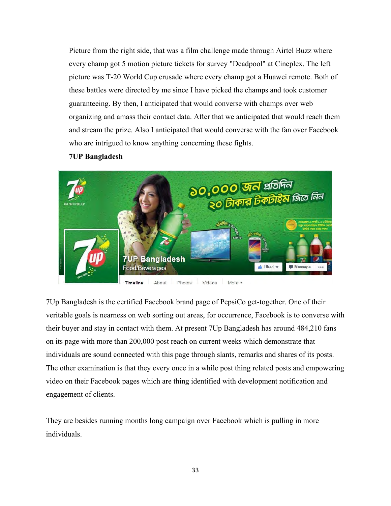Picture from the right side, that was a film challenge made through Airtel Buzz where every champ got 5 motion picture tickets for survey "Deadpool" at Cineplex. The left picture was T-20 World Cup crusade where every champ got a Huawei remote. Both of these battles were directed by me since I have picked the champs and took customer guaranteeing. By then, I anticipated that would converse with champs over web organizing and amass their contact data. After that we anticipated that would reach them and stream the prize. Also I anticipated that would converse with the fan over Facebook who are intrigued to know anything concerning these fights.

#### **7UP Bangladesh**



7Up Bangladesh is the certified Facebook brand page of PepsiCo get-together. One of their veritable goals is nearness on web sorting out areas, for occurrence, Facebook is to converse with their buyer and stay in contact with them. At present 7Up Bangladesh has around 484,210 fans on its page with more than 200,000 post reach on current weeks which demonstrate that individuals are sound connected with this page through slants, remarks and shares of its posts. The other examination is that they every once in a while post thing related posts and empowering video on their Facebook pages which are thing identified with development notification and engagement of clients.

They are besides running months long campaign over Facebook which is pulling in more individuals.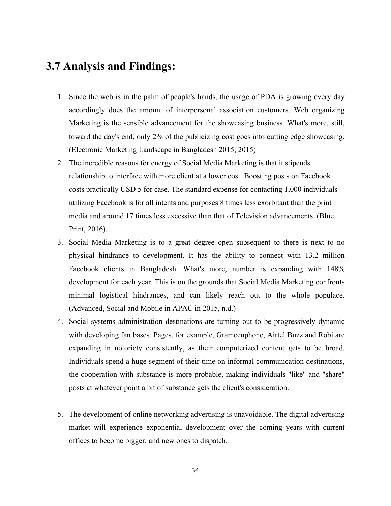## **3.7 Analysis and Findings:**

- 1. Since the web is in the palm of people's hands, the usage of PDA is growing every day accordingly does the amount of interpersonal association customers. Web organizing Marketing is the sensible advancement for the showcasing business. What's more, still, toward the day's end, only 2% of the publicizing cost goes into cutting edge showcasing. (Electronic Marketing Landscape in Bangladesh 2015, 2015)
- 2. The incredible reasons for energy of Social Media Marketing is that it stipends relationship to interface with more client at a lower cost. Boosting posts on Facebook costs practically USD 5 for case. The standard expense for contacting 1,000 individuals utilizing Facebook is for all intents and purposes 8 times less exorbitant than the print media and around 17 times less excessive than that of Television advancements. (Blue Print, 2016).
- 3. Social Media Marketing is to a great degree open subsequent to there is next to no physical hindrance to development. It has the ability to connect with 13.2 million Facebook clients in Bangladesh. What's more, number is expanding with 148% development for each year. This is on the grounds that Social Media Marketing confronts minimal logistical hindrances, and can likely reach out to the whole populace. (Advanced, Social and Mobile in APAC in 2015, n.d.)
- 4. Social systems administration destinations are turning out to be progressively dynamic with developing fan bases. Pages, for example, Grameenphone, Airtel Buzz and Robi are expanding in notoriety consistently, as their computerized content gets to be broad. Individuals spend a huge segment of their time on informal communication destinations, the cooperation with substance is more probable, making individuals "like" and "share" posts at whatever point a bit of substance gets the client's consideration.
- 5. The development of online networking advertising is unavoidable. The digital advertising market will experience exponential development over the coming years with current offices to become bigger, and new ones to dispatch.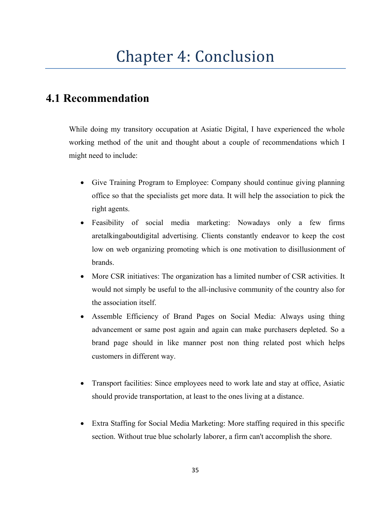## Chapter 4: Conclusion

## **4.1 Recommendation**

While doing my transitory occupation at Asiatic Digital, I have experienced the whole working method of the unit and thought about a couple of recommendations which I might need to include:

- Give Training Program to Employee: Company should continue giving planning office so that the specialists get more data. It will help the association to pick the right agents.
- Feasibility of social media marketing: Nowadays only a few firms aretalkingaboutdigital advertising. Clients constantly endeavor to keep the cost low on web organizing promoting which is one motivation to disillusionment of brands.
- More CSR initiatives: The organization has a limited number of CSR activities. It would not simply be useful to the all-inclusive community of the country also for the association itself.
- Assemble Efficiency of Brand Pages on Social Media: Always using thing advancement or same post again and again can make purchasers depleted. So a brand page should in like manner post non thing related post which helps customers in different way.
- Transport facilities: Since employees need to work late and stay at office, Asiatic should provide transportation, at least to the ones living at a distance.
- Extra Staffing for Social Media Marketing: More staffing required in this specific section. Without true blue scholarly laborer, a firm can't accomplish the shore.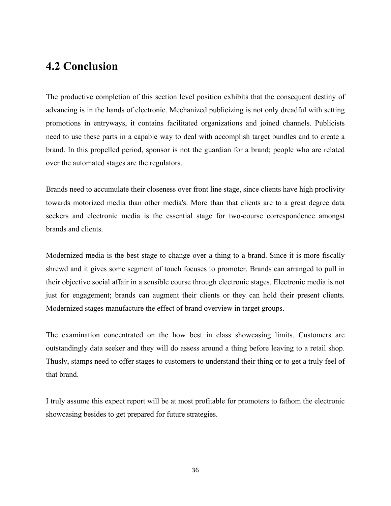## **4.2 Conclusion**

The productive completion of this section level position exhibits that the consequent destiny of advancing is in the hands of electronic. Mechanized publicizing is not only dreadful with setting promotions in entryways, it contains facilitated organizations and joined channels. Publicists need to use these parts in a capable way to deal with accomplish target bundles and to create a brand. In this propelled period, sponsor is not the guardian for a brand; people who are related over the automated stages are the regulators.

Brands need to accumulate their closeness over front line stage, since clients have high proclivity towards motorized media than other media's. More than that clients are to a great degree data seekers and electronic media is the essential stage for two-course correspondence amongst brands and clients.

Modernized media is the best stage to change over a thing to a brand. Since it is more fiscally shrewd and it gives some segment of touch focuses to promoter. Brands can arranged to pull in their objective social affair in a sensible course through electronic stages. Electronic media is not just for engagement; brands can augment their clients or they can hold their present clients. Modernized stages manufacture the effect of brand overview in target groups.

The examination concentrated on the how best in class showcasing limits. Customers are outstandingly data seeker and they will do assess around a thing before leaving to a retail shop. Thusly, stamps need to offer stages to customers to understand their thing or to get a truly feel of that brand.

I truly assume this expect report will be at most profitable for promoters to fathom the electronic showcasing besides to get prepared for future strategies.